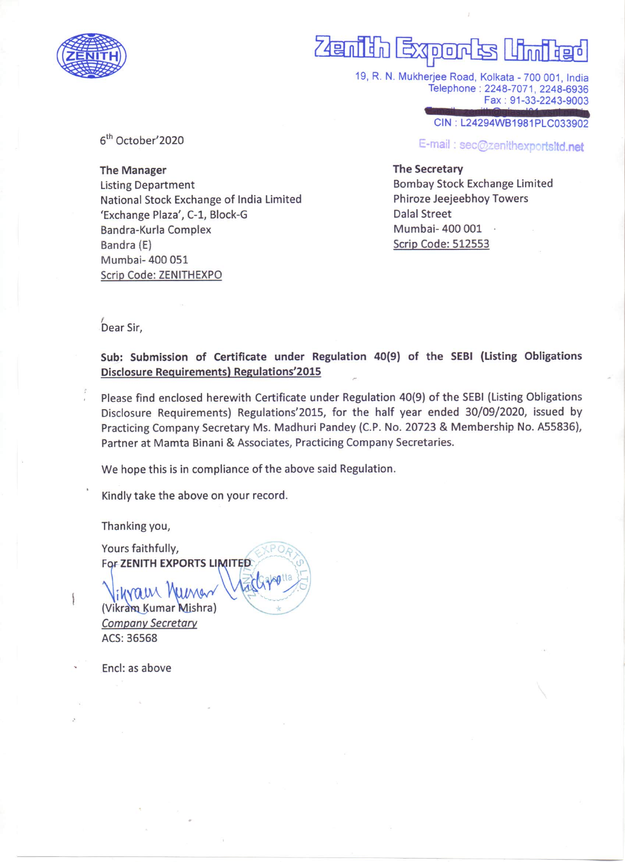

# Zenih Export

19, R. N. Mukherjee Road, Kolkata - 700 001, India Telephone: 2248-7071, 2248-6936 Fax : 91-33-2243-9003

CIN : L24294WB1981PLC033902

E-mail: sec@zenithexportsltd.net

#### The Secretary

Bombay Stock Exchange Limited Phiroze Jeejeebhoy Towers Dalal Street Mumbai- 400 001 · Scrip Code: 512553

6<sup>th</sup> October'2020

The Manager Listing Department National Stock Exchange of India Limited 'Exchange Plaza', C-1, Block-G Bandra-Kurla Complex Bandra (E) Mumbai- 400 051 Scrip Code: ZENITHEXPO

,<br>Dear Sir,

Sub: Submission of Certificate under Regulation 40(9) of the SEBI (Listing Obligations Disclosure Requirements) Regulations'2015

Please find enclosed herewith Certificate under Regulation 40(9) of the SEBI (Listing Obligations Disclosure Requirements) Regulations'2015, for the half year ended 30/09/2020, issued by Practicing Company Secretary Ms. Madhuri Pandey (C.P. No. <sup>20723</sup> & Membership No. A55836), Partner at Mamta Binani & Associates, Practicing Company Secretaries.

We hope this is in compliance of the above said Regulation.

 $O_R$ 

Kindly take the above on your record.

Thanking you,

Yours faithfully, lihram Numa (Vikram Kumar Mishra) Company Secretary For ZENITH EXPORTS LIMITED  $d\gamma$ 

ACS: 36568

Encl: as above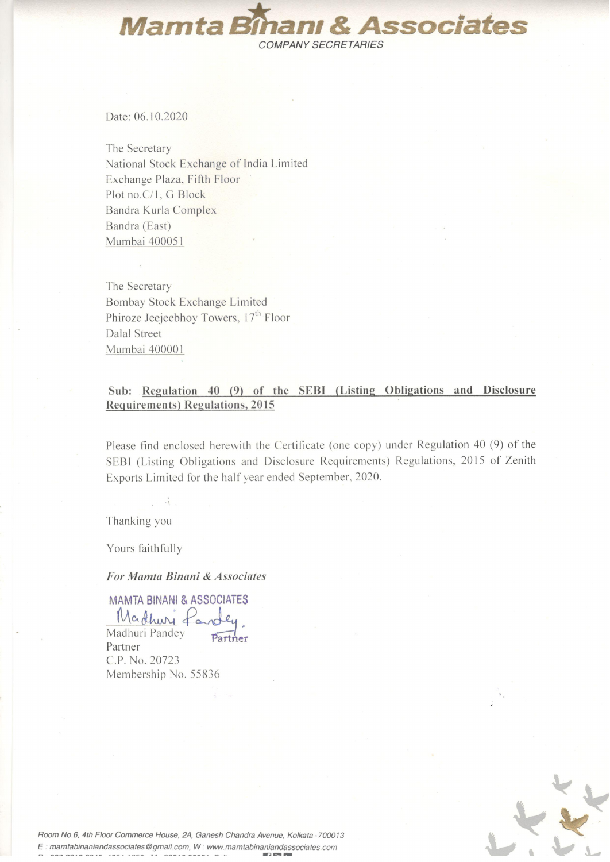**Mamta Bîhanı & Associates** COMPANY SECRETARIES

Date: 06.10.2020

The Secretary National Stock Exchange of India Limited Exchange Plaza, Fifth Floor Plot no.C/1, G Block Bandra Kurla Complex Bandra (East) Mumbai 400051

The Secretary Bombay Stock Exchange Limited Phiroze Jeejeebhoy Towers, 17<sup>th</sup> Floor Dalal Street Mumbai 40000 I

### Sub: Regulation 40 (9) of the SEBI (Listing Obligations and Disclosure Requirements) Regulations, 2015

Please find enclosed herewith the Certificate (one copy) under Regulation 40 (9) of the SEBI (Listing Obligations and Disclosure Requirements) Regulations, <sup>2015</sup> of Zenith Exports Limited for the half year ended September, 2020.

Thanking you

Yours faithfully

For Mamta Binani & Associates

MAMTA BINANI& ASSOCIATES Marthuri Lander

Madhuri Pandey Partner C.P. No. 20723 Membership No. 55836



Room No.6. 4th Floor Commerce House, 2A, Ganesh Chandra Avenue. Kolkata - 700013 E: mamtabinaniandassociates@gmail.com, W: www.mamtabinaniandassociates.com  $\begin{array}{ccccccccc}\n\textbf{A} & \textbf{A} & \textbf{A} & \textbf{A} & \textbf{A} & \textbf{A} & \textbf{A} & \textbf{A} & \textbf{A} & \textbf{A} & \textbf{A} & \textbf{A} & \textbf{A} & \textbf{A} & \textbf{A} & \textbf{A} & \textbf{A} & \textbf{A} & \textbf{A} & \textbf{A} & \textbf{A} & \textbf{A} & \textbf{A} & \textbf{A} & \textbf{A} & \textbf{A} & \textbf{A} & \textbf{A} & \textbf{A} & \textbf{A} &$  $wr.$